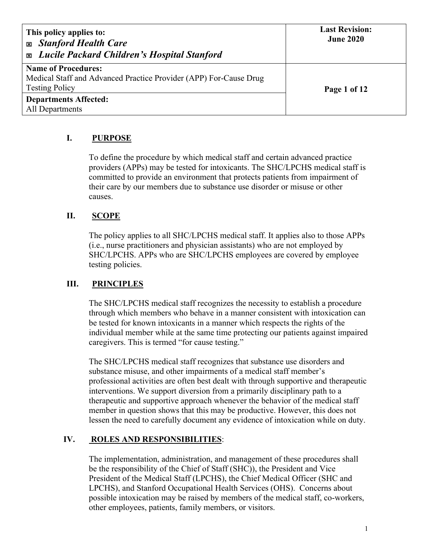| This policy applies to:<br><b>Exp. Stanford Health Care</b><br><b>Exable 21 Lucile Packard Children's Hospital Stanford</b> | <b>Last Revision:</b><br><b>June 2020</b> |
|-----------------------------------------------------------------------------------------------------------------------------|-------------------------------------------|
| <b>Name of Procedures:</b><br>Medical Staff and Advanced Practice Provider (APP) For-Cause Drug<br><b>Testing Policy</b>    | Page 1 of 12                              |
| <b>Departments Affected:</b><br>All Departments                                                                             |                                           |

# **I. PURPOSE**

To define the procedure by which medical staff and certain advanced practice providers (APPs) may be tested for intoxicants. The SHC/LPCHS medical staff is committed to provide an environment that protects patients from impairment of their care by our members due to substance use disorder or misuse or other causes.

### **II. SCOPE**

The policy applies to all SHC/LPCHS medical staff. It applies also to those APPs (i.e., nurse practitioners and physician assistants) who are not employed by SHC/LPCHS. APPs who are SHC/LPCHS employees are covered by employee testing policies.

### **III. PRINCIPLES**

The SHC/LPCHS medical staff recognizes the necessity to establish a procedure through which members who behave in a manner consistent with intoxication can be tested for known intoxicants in a manner which respects the rights of the individual member while at the same time protecting our patients against impaired caregivers. This is termed "for cause testing."

The SHC/LPCHS medical staff recognizes that substance use disorders and substance misuse, and other impairments of a medical staff member's professional activities are often best dealt with through supportive and therapeutic interventions. We support diversion from a primarily disciplinary path to a therapeutic and supportive approach whenever the behavior of the medical staff member in question shows that this may be productive. However, this does not lessen the need to carefully document any evidence of intoxication while on duty.

### **IV. ROLES AND RESPONSIBILITIES**:

The implementation, administration, and management of these procedures shall be the responsibility of the Chief of Staff (SHC)), the President and Vice President of the Medical Staff (LPCHS), the Chief Medical Officer (SHC and LPCHS), and Stanford Occupational Health Services (OHS). Concerns about possible intoxication may be raised by members of the medical staff, co-workers, other employees, patients, family members, or visitors.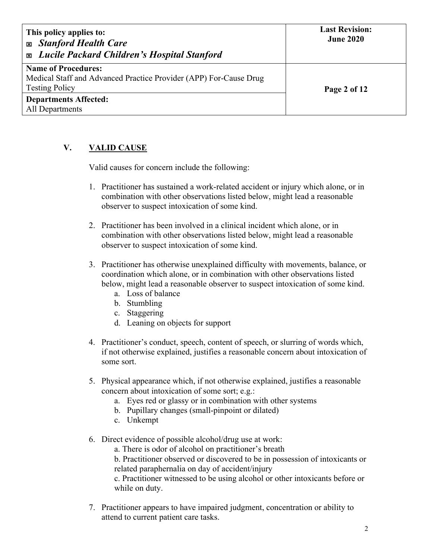| This policy applies to:<br><b>Exp. Stanford Health Care</b><br><b>Exable 21 Lucile Packard Children's Hospital Stanford</b> | <b>Last Revision:</b><br><b>June 2020</b> |
|-----------------------------------------------------------------------------------------------------------------------------|-------------------------------------------|
| <b>Name of Procedures:</b><br>Medical Staff and Advanced Practice Provider (APP) For-Cause Drug                             |                                           |
| <b>Testing Policy</b>                                                                                                       | Page 2 of 12                              |
| <b>Departments Affected:</b>                                                                                                |                                           |
| All Departments                                                                                                             |                                           |

# **V. VALID CAUSE**

Valid causes for concern include the following:

- 1. Practitioner has sustained a work-related accident or injury which alone, or in combination with other observations listed below, might lead a reasonable observer to suspect intoxication of some kind.
- 2. Practitioner has been involved in a clinical incident which alone, or in combination with other observations listed below, might lead a reasonable observer to suspect intoxication of some kind.
- 3. Practitioner has otherwise unexplained difficulty with movements, balance, or coordination which alone, or in combination with other observations listed below, might lead a reasonable observer to suspect intoxication of some kind.
	- a. Loss of balance
	- b. Stumbling
	- c. Staggering
	- d. Leaning on objects for support
- 4. Practitioner's conduct, speech, content of speech, or slurring of words which, if not otherwise explained, justifies a reasonable concern about intoxication of some sort.
- 5. Physical appearance which, if not otherwise explained, justifies a reasonable concern about intoxication of some sort; e.g.:
	- a. Eyes red or glassy or in combination with other systems
	- b. Pupillary changes (small-pinpoint or dilated)
	- c. Unkempt
- 6. Direct evidence of possible alcohol/drug use at work:

a. There is odor of alcohol on practitioner's breath

b. Practitioner observed or discovered to be in possession of intoxicants or related paraphernalia on day of accident/injury

c. Practitioner witnessed to be using alcohol or other intoxicants before or while on duty.

7. Practitioner appears to have impaired judgment, concentration or ability to attend to current patient care tasks.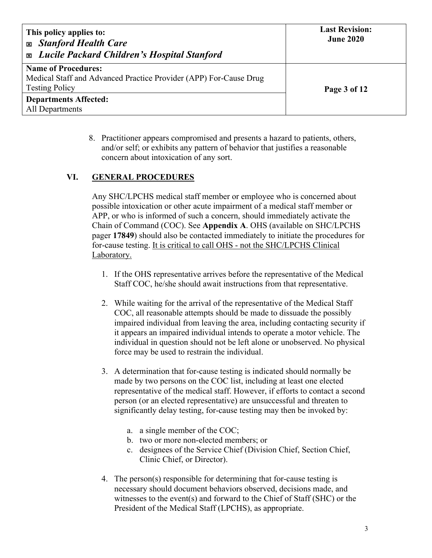| This policy applies to:<br><b>Exp. Stanford Health Care</b><br><b>Exable 21 Lucile Packard Children's Hospital Stanford</b> | <b>Last Revision:</b><br><b>June 2020</b> |
|-----------------------------------------------------------------------------------------------------------------------------|-------------------------------------------|
| <b>Name of Procedures:</b>                                                                                                  |                                           |
| Medical Staff and Advanced Practice Provider (APP) For-Cause Drug                                                           |                                           |
| <b>Testing Policy</b>                                                                                                       | Page 3 of 12                              |
| <b>Departments Affected:</b>                                                                                                |                                           |
| All Departments                                                                                                             |                                           |

8. Practitioner appears compromised and presents a hazard to patients, others, and/or self; or exhibits any pattern of behavior that justifies a reasonable concern about intoxication of any sort.

### **VI. GENERAL PROCEDURES**

Any SHC/LPCHS medical staff member or employee who is concerned about possible intoxication or other acute impairment of a medical staff member or APP, or who is informed of such a concern, should immediately activate the Chain of Command (COC). See **Appendix A**. OHS (available on SHC/LPCHS pager **17849**) should also be contacted immediately to initiate the procedures for for-cause testing. It is critical to call OHS - not the SHC/LPCHS Clinical Laboratory.

- 1. If the OHS representative arrives before the representative of the Medical Staff COC, he/she should await instructions from that representative.
- 2. While waiting for the arrival of the representative of the Medical Staff COC, all reasonable attempts should be made to dissuade the possibly impaired individual from leaving the area, including contacting security if it appears an impaired individual intends to operate a motor vehicle. The individual in question should not be left alone or unobserved. No physical force may be used to restrain the individual.
- 3. A determination that for-cause testing is indicated should normally be made by two persons on the COC list, including at least one elected representative of the medical staff. However, if efforts to contact a second person (or an elected representative) are unsuccessful and threaten to significantly delay testing, for-cause testing may then be invoked by:
	- a. a single member of the COC;
	- b. two or more non-elected members; or
	- c. designees of the Service Chief (Division Chief, Section Chief, Clinic Chief, or Director).
- 4. The person(s) responsible for determining that for-cause testing is necessary should document behaviors observed, decisions made, and witnesses to the event(s) and forward to the Chief of Staff (SHC) or the President of the Medical Staff (LPCHS), as appropriate.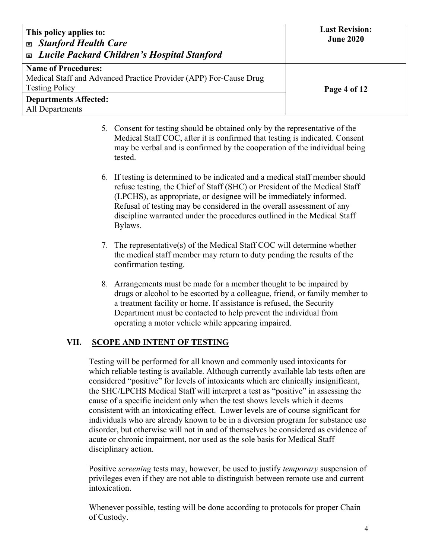| This policy applies to:<br><b>Exp. Stanford Health Care</b><br><b>Exable 2</b> Lucile Packard Children's Hospital Stanford | <b>Last Revision:</b><br><b>June 2020</b> |
|----------------------------------------------------------------------------------------------------------------------------|-------------------------------------------|
| <b>Name of Procedures:</b><br>Medical Staff and Advanced Practice Provider (APP) For-Cause Drug<br><b>Testing Policy</b>   | Page 4 of 12                              |
| <b>Departments Affected:</b><br>All Departments                                                                            |                                           |

- 5. Consent for testing should be obtained only by the representative of the Medical Staff COC, after it is confirmed that testing is indicated. Consent may be verbal and is confirmed by the cooperation of the individual being tested.
- 6. If testing is determined to be indicated and a medical staff member should refuse testing, the Chief of Staff (SHC) or President of the Medical Staff (LPCHS), as appropriate, or designee will be immediately informed. Refusal of testing may be considered in the overall assessment of any discipline warranted under the procedures outlined in the Medical Staff Bylaws.
- 7. The representative(s) of the Medical Staff COC will determine whether the medical staff member may return to duty pending the results of the confirmation testing.
- 8. Arrangements must be made for a member thought to be impaired by drugs or alcohol to be escorted by a colleague, friend, or family member to a treatment facility or home. If assistance is refused, the Security Department must be contacted to help prevent the individual from operating a motor vehicle while appearing impaired.

### **VII. SCOPE AND INTENT OF TESTING**

Testing will be performed for all known and commonly used intoxicants for which reliable testing is available. Although currently available lab tests often are considered "positive" for levels of intoxicants which are clinically insignificant, the SHC/LPCHS Medical Staff will interpret a test as "positive" in assessing the cause of a specific incident only when the test shows levels which it deems consistent with an intoxicating effect. Lower levels are of course significant for individuals who are already known to be in a diversion program for substance use disorder, but otherwise will not in and of themselves be considered as evidence of acute or chronic impairment, nor used as the sole basis for Medical Staff disciplinary action.

Positive *screening* tests may, however, be used to justify *temporary* suspension of privileges even if they are not able to distinguish between remote use and current intoxication.

Whenever possible, testing will be done according to protocols for proper Chain of Custody.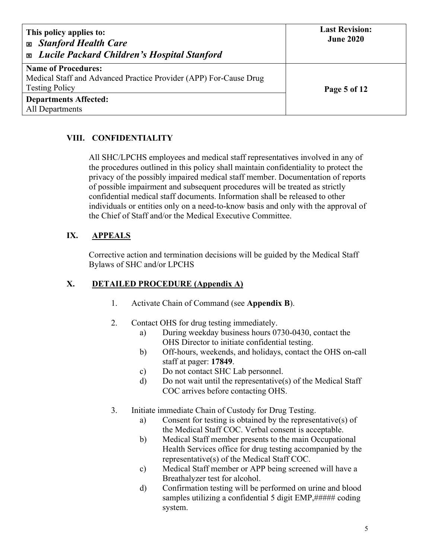| This policy applies to:<br><b>Exp. Stanford Health Care</b><br><b>Exable 21 Lucile Packard Children's Hospital Stanford</b> | <b>Last Revision:</b><br><b>June 2020</b> |
|-----------------------------------------------------------------------------------------------------------------------------|-------------------------------------------|
| <b>Name of Procedures:</b>                                                                                                  |                                           |
| Medical Staff and Advanced Practice Provider (APP) For-Cause Drug                                                           |                                           |
| <b>Testing Policy</b>                                                                                                       | Page 5 of 12                              |
| <b>Departments Affected:</b>                                                                                                |                                           |
| All Departments                                                                                                             |                                           |

# **VIII. CONFIDENTIALITY**

All SHC/LPCHS employees and medical staff representatives involved in any of the procedures outlined in this policy shall maintain confidentiality to protect the privacy of the possibly impaired medical staff member. Documentation of reports of possible impairment and subsequent procedures will be treated as strictly confidential medical staff documents. Information shall be released to other individuals or entities only on a need-to-know basis and only with the approval of the Chief of Staff and/or the Medical Executive Committee.

# **IX. APPEALS**

Corrective action and termination decisions will be guided by the Medical Staff Bylaws of SHC and/or LPCHS

### **X. DETAILED PROCEDURE (Appendix A)**

- 1. Activate Chain of Command (see **Appendix B**).
- 2. Contact OHS for drug testing immediately.
	- a) During weekday business hours 0730-0430, contact the OHS Director to initiate confidential testing.
	- b) Off-hours, weekends, and holidays, contact the OHS on-call staff at pager: **17849**.
	- c) Do not contact SHC Lab personnel.
	- d) Do not wait until the representative(s) of the Medical Staff COC arrives before contacting OHS.
- 3. Initiate immediate Chain of Custody for Drug Testing.
	- a) Consent for testing is obtained by the representative(s) of the Medical Staff COC. Verbal consent is acceptable.
	- b) Medical Staff member presents to the main Occupational Health Services office for drug testing accompanied by the representative(s) of the Medical Staff COC.
	- c) Medical Staff member or APP being screened will have a Breathalyzer test for alcohol.
	- d) Confirmation testing will be performed on urine and blood samples utilizing a confidential 5 digit EMP,##### coding system.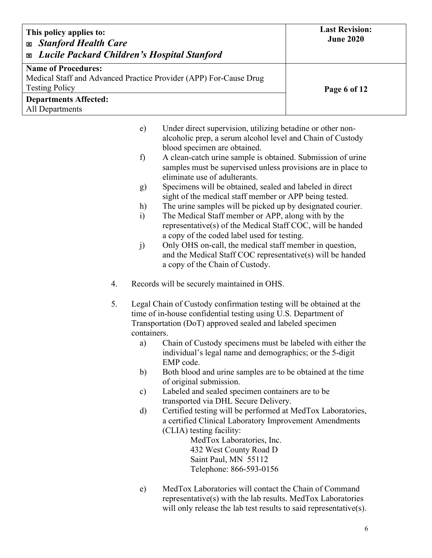| This policy applies to:<br><b>Exp. Stanford Health Care</b><br><b>Exable 21 Lucile Packard Children's Hospital Stanford</b> | <b>Last Revision:</b><br><b>June 2020</b> |
|-----------------------------------------------------------------------------------------------------------------------------|-------------------------------------------|
| <b>Name of Procedures:</b><br>Medical Staff and Advanced Practice Provider (APP) For-Cause Drug<br><b>Testing Policy</b>    | Page 6 of 12                              |
| <b>Departments Affected:</b><br>All Departments                                                                             |                                           |

| e) | Under direct supervision, utilizing betadine or other non-   |  |
|----|--------------------------------------------------------------|--|
|    | alcoholic prep, a serum alcohol level and Chain of Custody   |  |
|    | blood specimen are obtained.                                 |  |
| f) | A clean-catch urine sample is obtained. Submission of urine  |  |
|    | samples must be supervised unless provisions are in place to |  |

- eliminate use of adulterants.
- g) Specimens will be obtained, sealed and labeled in direct sight of the medical staff member or APP being tested.
- h) The urine samples will be picked up by designated courier.
- i) The Medical Staff member or APP, along with by the representative(s) of the Medical Staff COC, will be handed a copy of the coded label used for testing.
- j) Only OHS on-call, the medical staff member in question, and the Medical Staff COC representative(s) will be handed a copy of the Chain of Custody.
- 4. Records will be securely maintained in OHS.
- 5. Legal Chain of Custody confirmation testing will be obtained at the time of in-house confidential testing using U.S. Department of Transportation (DoT) approved sealed and labeled specimen containers.
	- a) Chain of Custody specimens must be labeled with either the individual's legal name and demographics; or the 5-digit EMP code.
	- b) Both blood and urine samples are to be obtained at the time of original submission.
	- c) Labeled and sealed specimen containers are to be transported via DHL Secure Delivery.
	- d) Certified testing will be performed at MedTox Laboratories, a certified Clinical Laboratory Improvement Amendments (CLIA) testing facility:

MedTox Laboratories, Inc. 432 West County Road D Saint Paul, MN 55112 Telephone: 866-593-0156

e) MedTox Laboratories will contact the Chain of Command representative(s) with the lab results. MedTox Laboratories will only release the lab test results to said representative(s).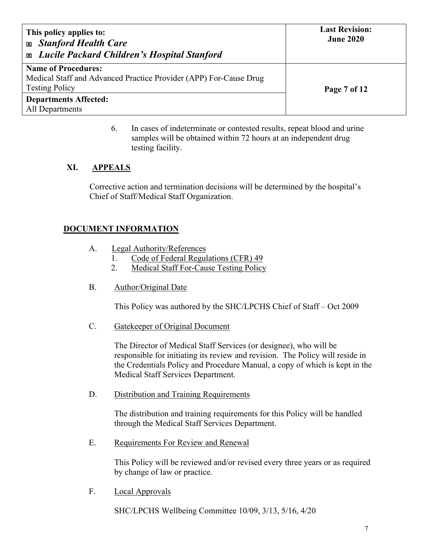| This policy applies to:<br><b>Exp. Stanford Health Care</b><br><b>Exable 2</b> Lucile Packard Children's Hospital Stanford | <b>Last Revision:</b><br><b>June 2020</b> |
|----------------------------------------------------------------------------------------------------------------------------|-------------------------------------------|
| <b>Name of Procedures:</b><br>Medical Staff and Advanced Practice Provider (APP) For-Cause Drug                            |                                           |
| <b>Testing Policy</b>                                                                                                      | Page 7 of 12                              |
| <b>Departments Affected:</b>                                                                                               |                                           |
| All Departments                                                                                                            |                                           |

6. In cases of indeterminate or contested results, repeat blood and urine samples will be obtained within 72 hours at an independent drug testing facility.

### **XI. APPEALS**

Corrective action and termination decisions will be determined by the hospital's Chief of Staff/Medical Staff Organization.

#### **DOCUMENT INFORMATION**

- A. Legal Authority/References
	- 1. Code of Federal Regulations (CFR) 49
	- 2. Medical Staff For-Cause Testing Policy
- B. Author/Original Date

This Policy was authored by the SHC/LPCHS Chief of Staff – Oct 2009

C. Gatekeeper of Original Document

The Director of Medical Staff Services (or designee), who will be responsible for initiating its review and revision. The Policy will reside in the Credentials Policy and Procedure Manual, a copy of which is kept in the Medical Staff Services Department.

D. Distribution and Training Requirements

The distribution and training requirements for this Policy will be handled through the Medical Staff Services Department.

E. Requirements For Review and Renewal

This Policy will be reviewed and/or revised every three years or as required by change of law or practice.

F. Local Approvals

SHC/LPCHS Wellbeing Committee 10/09, 3/13, 5/16, 4/20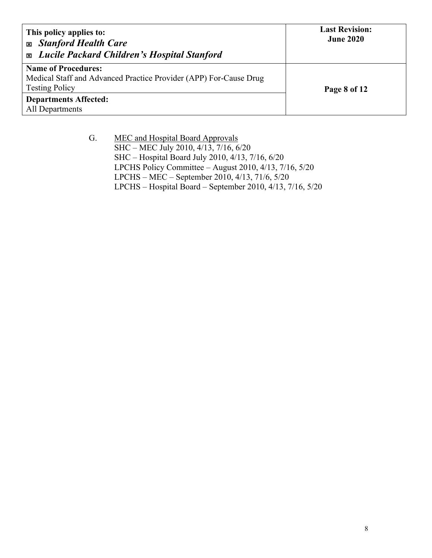| This policy applies to:<br><b>Exp. Stanford Health Care</b><br><b>Exable 21 Lucile Packard Children's Hospital Stanford</b> | <b>Last Revision:</b><br><b>June 2020</b> |
|-----------------------------------------------------------------------------------------------------------------------------|-------------------------------------------|
| <b>Name of Procedures:</b><br>Medical Staff and Advanced Practice Provider (APP) For-Cause Drug                             |                                           |
| <b>Testing Policy</b>                                                                                                       | Page 8 of 12                              |
| <b>Departments Affected:</b>                                                                                                |                                           |
| All Departments                                                                                                             |                                           |

G. MEC and Hospital Board Approvals SHC – MEC July 2010, 4/13, 7/16, 6/20 SHC – Hospital Board July 2010, 4/13, 7/16, 6/20 LPCHS Policy Committee – August 2010, 4/13, 7/16, 5/20 LPCHS – MEC – September 2010, 4/13, 71/6, 5/20 LPCHS – Hospital Board – September 2010, 4/13, 7/16, 5/20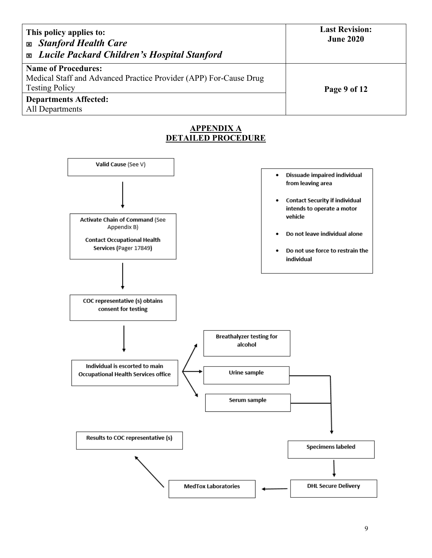| This policy applies to:<br><b>Exp. Stanford Health Care</b><br><b>Exable 21 Lucile Packard Children's Hospital Stanford</b> | <b>Last Revision:</b><br><b>June 2020</b> |
|-----------------------------------------------------------------------------------------------------------------------------|-------------------------------------------|
| <b>Name of Procedures:</b>                                                                                                  |                                           |
| Medical Staff and Advanced Practice Provider (APP) For-Cause Drug                                                           |                                           |
| <b>Testing Policy</b>                                                                                                       | Page 9 of 12                              |
| <b>Departments Affected:</b>                                                                                                |                                           |
| All Departments                                                                                                             |                                           |

# **APPENDIX A DETAILED PROCEDURE**

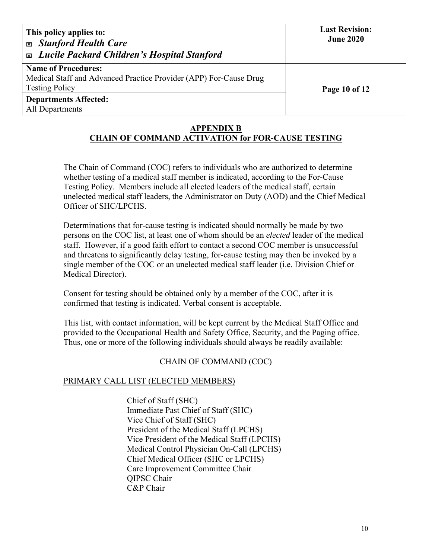| This policy applies to:<br><b>Exp. Stanford Health Care</b><br><b>Exable 2</b> Lucile Packard Children's Hospital Stanford | <b>Last Revision:</b><br><b>June 2020</b> |
|----------------------------------------------------------------------------------------------------------------------------|-------------------------------------------|
| <b>Name of Procedures:</b><br>Medical Staff and Advanced Practice Provider (APP) For-Cause Drug<br><b>Testing Policy</b>   | Page 10 of 12                             |
| <b>Departments Affected:</b><br>All Departments                                                                            |                                           |

#### **APPENDIX B CHAIN OF COMMAND ACTIVATION for FOR-CAUSE TESTING**

The Chain of Command (COC) refers to individuals who are authorized to determine whether testing of a medical staff member is indicated, according to the For-Cause Testing Policy. Members include all elected leaders of the medical staff, certain unelected medical staff leaders, the Administrator on Duty (AOD) and the Chief Medical Officer of SHC/LPCHS.

Determinations that for-cause testing is indicated should normally be made by two persons on the COC list, at least one of whom should be an *elected* leader of the medical staff. However, if a good faith effort to contact a second COC member is unsuccessful and threatens to significantly delay testing, for-cause testing may then be invoked by a single member of the COC or an unelected medical staff leader (i.e. Division Chief or Medical Director).

Consent for testing should be obtained only by a member of the COC, after it is confirmed that testing is indicated. Verbal consent is acceptable.

This list, with contact information, will be kept current by the Medical Staff Office and provided to the Occupational Health and Safety Office, Security, and the Paging office. Thus, one or more of the following individuals should always be readily available:

### CHAIN OF COMMAND (COC)

### PRIMARY CALL LIST (ELECTED MEMBERS)

Chief of Staff (SHC) Immediate Past Chief of Staff (SHC) Vice Chief of Staff (SHC) President of the Medical Staff (LPCHS) Vice President of the Medical Staff (LPCHS) Medical Control Physician On-Call (LPCHS) Chief Medical Officer (SHC or LPCHS) Care Improvement Committee Chair QIPSC Chair C&P Chair